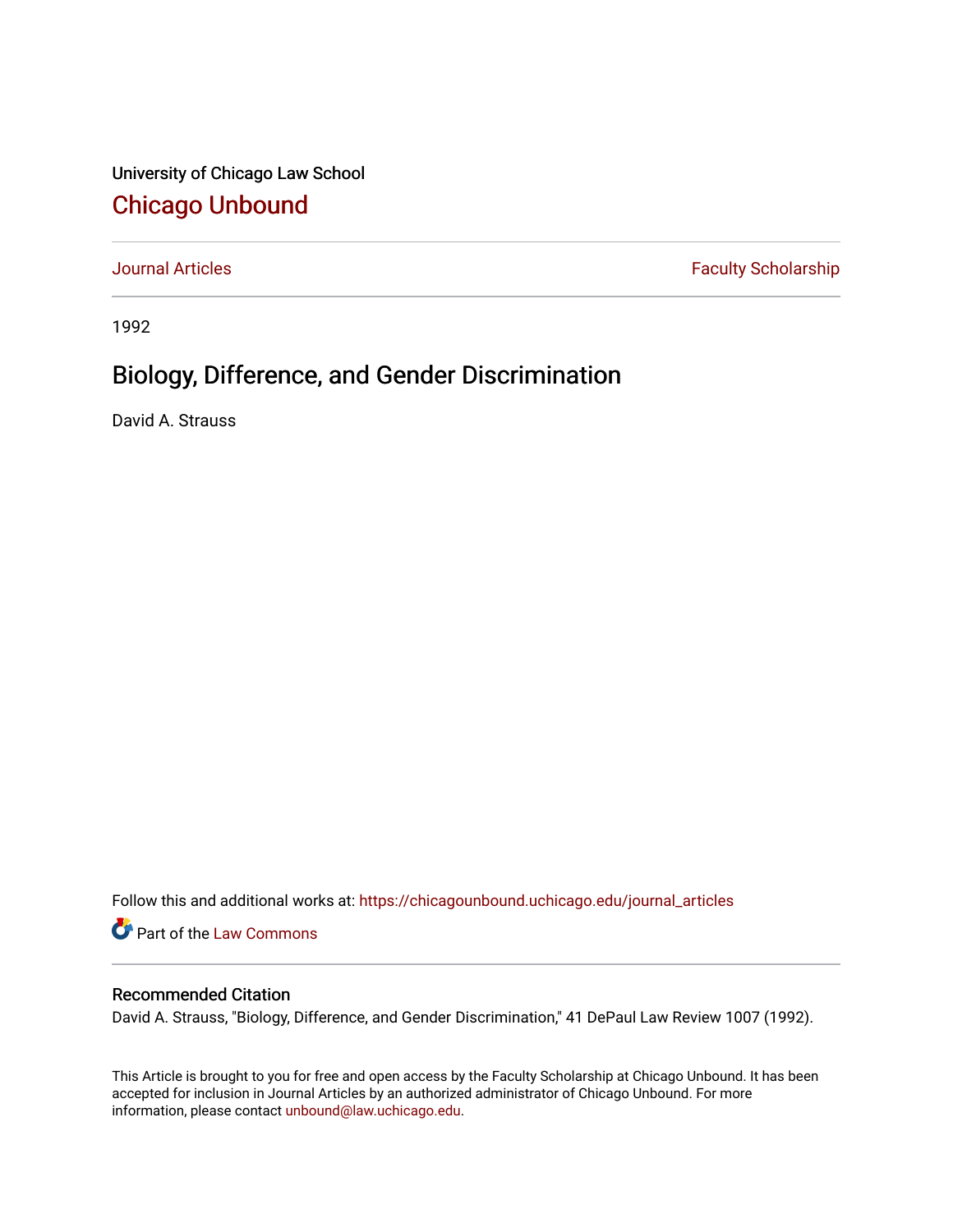University of Chicago Law School [Chicago Unbound](https://chicagounbound.uchicago.edu/)

[Journal Articles](https://chicagounbound.uchicago.edu/journal_articles) **Faculty Scholarship Faculty Scholarship** 

1992

# Biology, Difference, and Gender Discrimination

David A. Strauss

Follow this and additional works at: [https://chicagounbound.uchicago.edu/journal\\_articles](https://chicagounbound.uchicago.edu/journal_articles?utm_source=chicagounbound.uchicago.edu%2Fjournal_articles%2F2005&utm_medium=PDF&utm_campaign=PDFCoverPages) 

Part of the [Law Commons](http://network.bepress.com/hgg/discipline/578?utm_source=chicagounbound.uchicago.edu%2Fjournal_articles%2F2005&utm_medium=PDF&utm_campaign=PDFCoverPages)

# Recommended Citation

David A. Strauss, "Biology, Difference, and Gender Discrimination," 41 DePaul Law Review 1007 (1992).

This Article is brought to you for free and open access by the Faculty Scholarship at Chicago Unbound. It has been accepted for inclusion in Journal Articles by an authorized administrator of Chicago Unbound. For more information, please contact [unbound@law.uchicago.edu](mailto:unbound@law.uchicago.edu).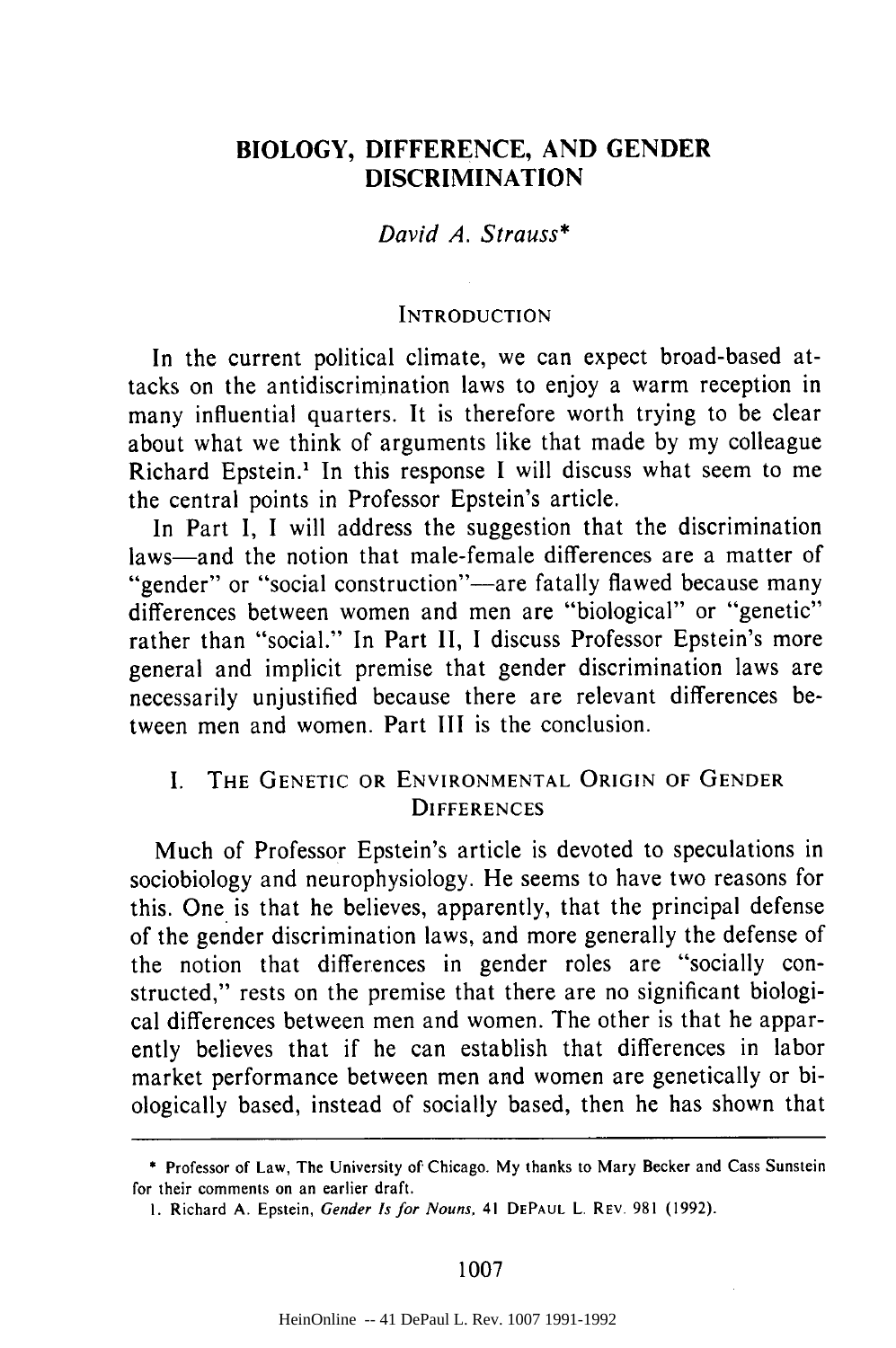# **BIOLOGY, DIFFERENCE, AND GENDER DISCRIMINATION**

David A. *Strauss\**

#### **INTRODUCTION**

In the current political climate, we can expect broad-based attacks on the antidiscrimination laws to enjoy a warm reception in many influential quarters. It is therefore worth trying to be clear about what we think of arguments like that made **by** my colleague Richard Epstein.' In this response I will discuss what seem to me the central points in Professor Epstein's article.

In Part I, I will address the suggestion that the discrimination laws—and the notion that male-female differences are a matter of "gender" or "social construction"—are fatally flawed because many differences between women and men are "biological" or "genetic" rather than "social." In Part **11, 1** discuss Professor Epstein's more general and implicit premise that gender discrimination laws are necessarily unjustified because there are relevant differences between men and women. Part III is the conclusion.

## I. THE **GENETIC** OR **ENVIRONMENTAL** ORIGIN OF **GENDER DIFFERENCES**

Much of Professor Epstein's article is devoted to speculations in sociobiology and neurophysiology. He seems to have two reasons for this. One is that he believes, apparently, that the principal defense of the gender discrimination laws, and more generally the defense of the notion that differences in gender roles are "socially constructed," rests on the premise that there are no significant biological differences between men and women. The other is that he apparently believes that if he can establish that differences in labor market performance between men and women are genetically or biologically based, instead of socially based, then he has shown that

1007

<sup>\*</sup> Professor of Law, The University **of** Chicago. **My** thanks to Mary Becker and Cass Sunstein for their comments on an earlier draft.

**<sup>1.</sup>** Richard **A.** Epstein, Gender *Is* **for** Nouns, 41 **DEPAUL** L. REV. **981 (1992).**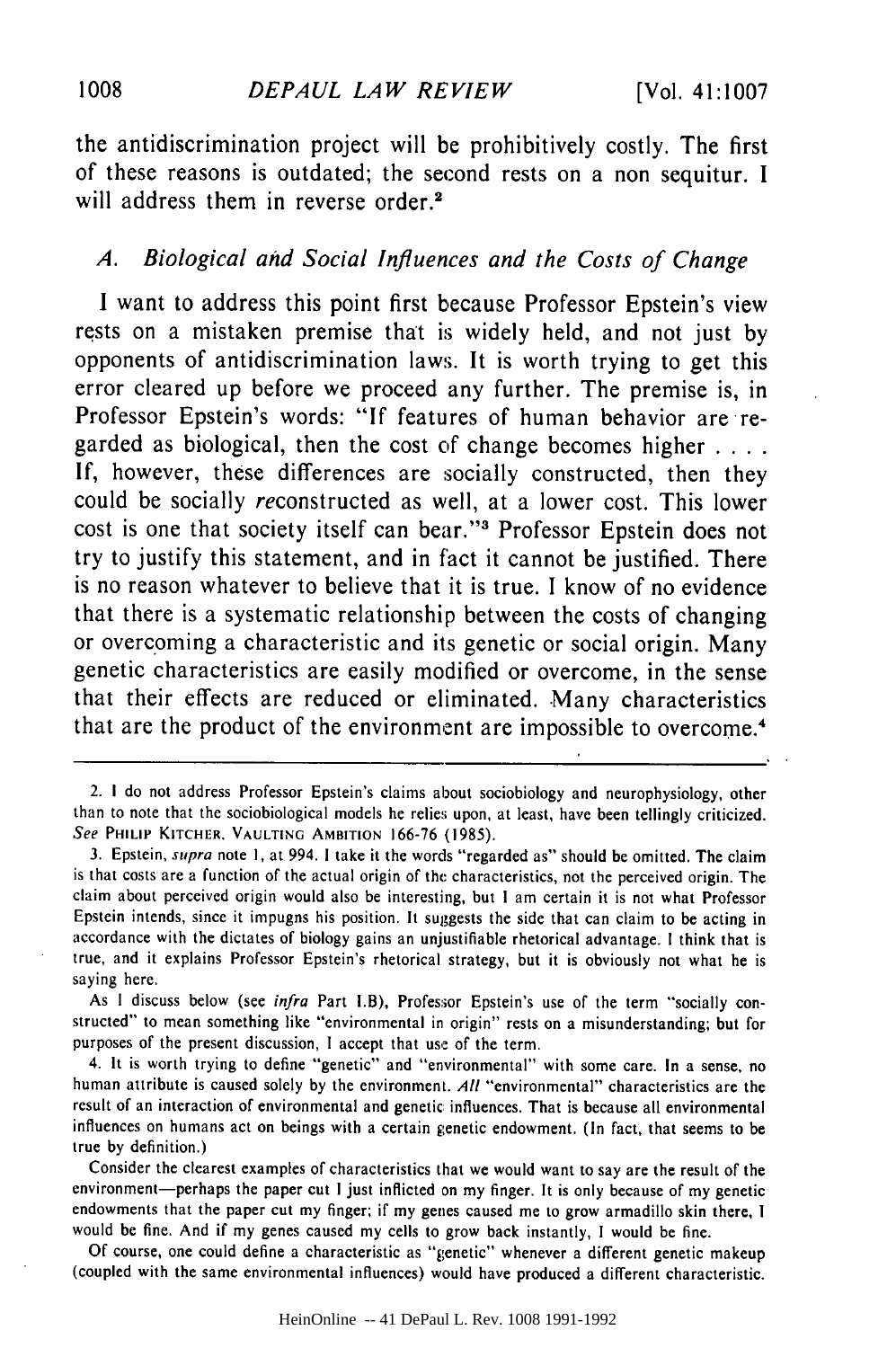the antidiscrimination project will be prohibitively costly. The first of these reasons is outdated; the second rests on a non sequitur. **I** will address them in reverse order.<sup>2</sup>

## *A. Biological and Social Influences and the Costs of Change*

**I** want to address this point first because Professor Epstein's view rests on a mistaken premise that is widely held, and not just **by** opponents of antidiscrimination laws. It is worth trying to get this error cleared up before we proceed any further. The premise is, in Professor Epstein's words: **"If** features of human behavior are regarded as biological, then the cost **of** change becomes higher **.... If,** however, these differences are socially constructed, then they could be socially reconstructed as well, at a lower cost. This lower cost is one that society itself can bear."' Professor Epstein does not try to justify this statement, and in fact it cannot be justified. There is no reason whatever to believe that it is true. **I** know of no evidence that there is a systematic relationship between the costs of changing or overcoming a characteristic and its genetic or social origin. Many genetic characteristics are easily modified or overcome, in the sense that their effects are reduced or eliminated. Many characteristics that are the product of the environment are impossible to overcome.4

As **I** discuss below (see infra Part I.B), Professor Epstein's use of the term "socially constructed" to mean something like "environmental in origin" rests on a misunderstanding; but for purposes of the present discussion, **I** accept that use of the term.

4. It is worth trying to define "genetic" and "environmental" with some care. In a sense, no human attribute is caused solely by the environment. All "environmental" characteristics are the result of an interaction of environmental and genetic influences. That is because all environmental influences on humans act on beings with a certain genetic endowment. (In fact, that seems to be true by definition.)

Consider the clearest examples of characteristics that we would want to say are the result of the environment-perhaps the paper cut I just inflicted on my finger. It is only because of my genetic endowments that the paper cut my finger; if my genes caused me to grow armadillo skin there, **I** would be fine. And if my genes caused my cells to grow back instantly, I would be fine.

Of course, one could define a characteristic as "genetic" whenever a different genetic makeup (coupled with the same environmental influences) would have produced a different characteristic.

<sup>2.</sup> I do not address Professor Epstein's claims about sociobiology and neurophysiology, other than to note that the sociobiological models he relies upon, at least, have been tellingly criticized. See **PHILIP KITCHER. VAULTING AMBITION** 166-76 (1985).

<sup>3.</sup> Epstein, supra note 1, at 994. I take it the words "regarded as" should be omitted. The claim is that costs are a function of the actual origin of the characteristics, not the perceived origin. The claim about perceived origin would also be interesting, but **I** am certain it is not what Professor Epstein intends, since it impugns his position. It suggests the side that can claim to be acting in accordance with the dictates of biology gains an unjustifiable rhetorical advantage. **I** think that is true, and it explains Professor Epstein's rhetorical strategy, but it is obviously not what he is saying here.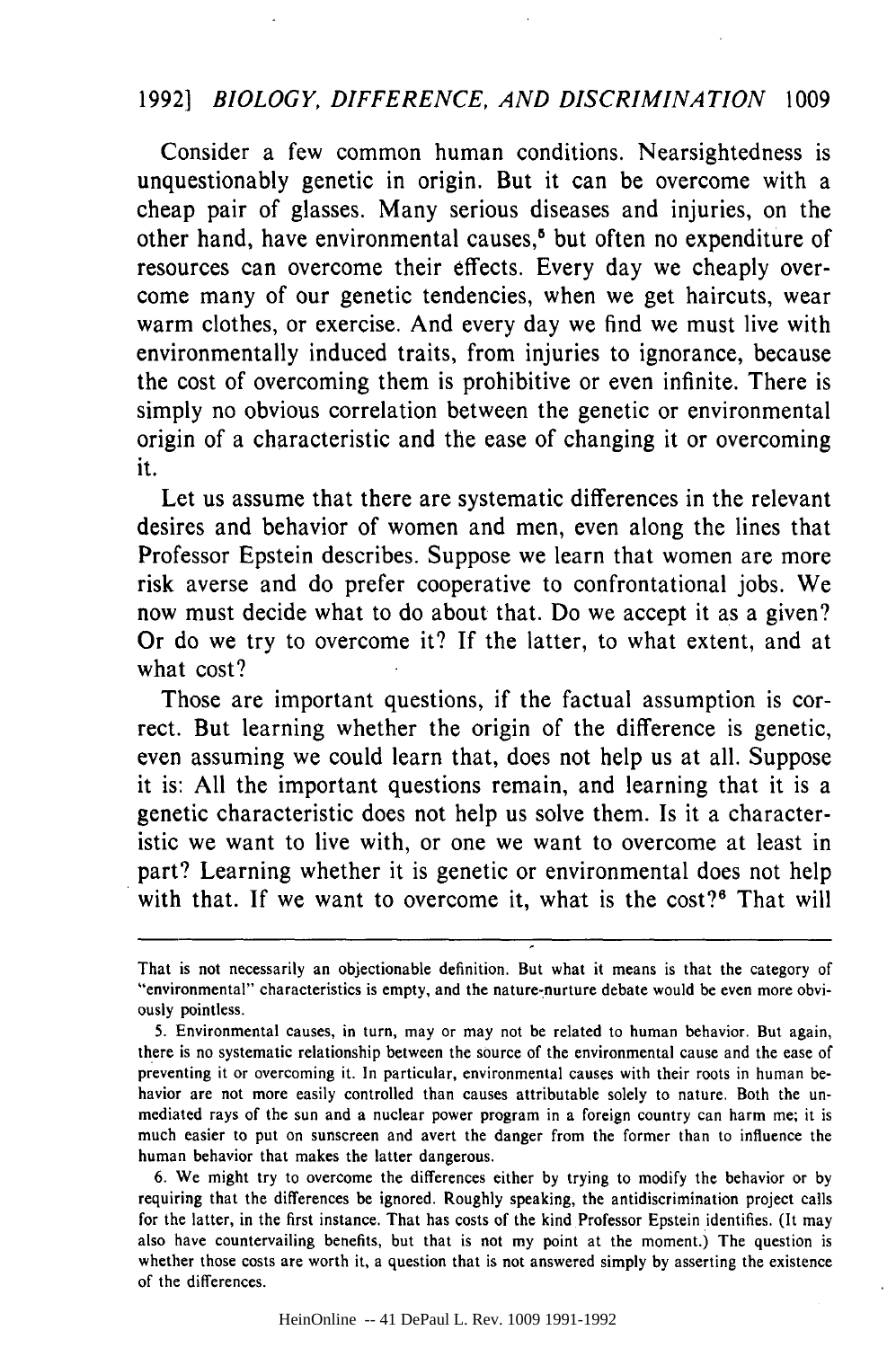# 1992] *BIOLOGY, DIFFERENCE, AND DISCRIMINATION* 1009

Consider a few common human conditions. Nearsightedness is unquestionably genetic in origin. But it can be overcome with a cheap pair of glasses. Many serious diseases and injuries, on the other hand, have environmental causes,<sup>6</sup> but often no expenditure of resources can overcome their effects. Every day we cheaply overcome many of our genetic tendencies, when we get haircuts, wear warm clothes, or exercise. And every day we find we must live with environmentally induced traits, from injuries to ignorance, because the cost of overcoming them is prohibitive or even infinite. There is simply no obvious correlation between the genetic or environmental origin of a characteristic and the ease of changing it or overcoming it.

Let us assume that there are systematic differences in the relevant desires and behavior of women and men, even along the lines that Professor Epstein describes. Suppose we learn that women are more risk averse and do prefer cooperative to confrontational jobs. We now must decide what to do about that. Do we accept it as a given? Or do we try to overcome it? If the latter, to what extent, and at what cost?

Those are important questions, if the factual assumption is correct. But learning whether the origin of the difference is genetic, even assuming we could learn that, does not help us at all. Suppose it is: All the important questions remain, and learning that it is a genetic characteristic does not help us solve them. Is it a characteristic we want to live with, or one we want to overcome at least in part? Learning whether it is genetic or environmental does not help with that. If we want to overcome it, what is the cost?<sup>6</sup> That will

HeinOnline -- 41 DePaul L. Rev. 1009 1991-1992

That is not necessarily an objectionable definition. But what it means is that the category of "environmental" characteristics is empty, and the nature-nurture debate would be even more obviously pointless.

<sup>5.</sup> Environmental causes, in turn, may or may not be related to human behavior. But again, there is no systematic relationship between the source of the environmental cause and the ease of preventing it or overcoming it. In particular, environmental causes with their roots in human behavior are not more easily controlled than causes attributable solely to nature. Both the unmediated rays of the sun and a nuclear power program in a foreign country can harm me; it is much easier to put on sunscreen and avert the danger from the former than to influence the human behavior that makes the latter dangerous.

<sup>6.</sup> We might try to overcome the differences either by trying to modify the behavior or by requiring that the differences be ignored. Roughly speaking, the antidiscrimination project calls for the latter, in the first instance. That has costs of the kind Professor Epstein identifies. (It may also have countervailing benefits, but that is not my point at the moment.) The question is whether those costs are worth it, a question that is not answered simply by asserting the existence of the differences.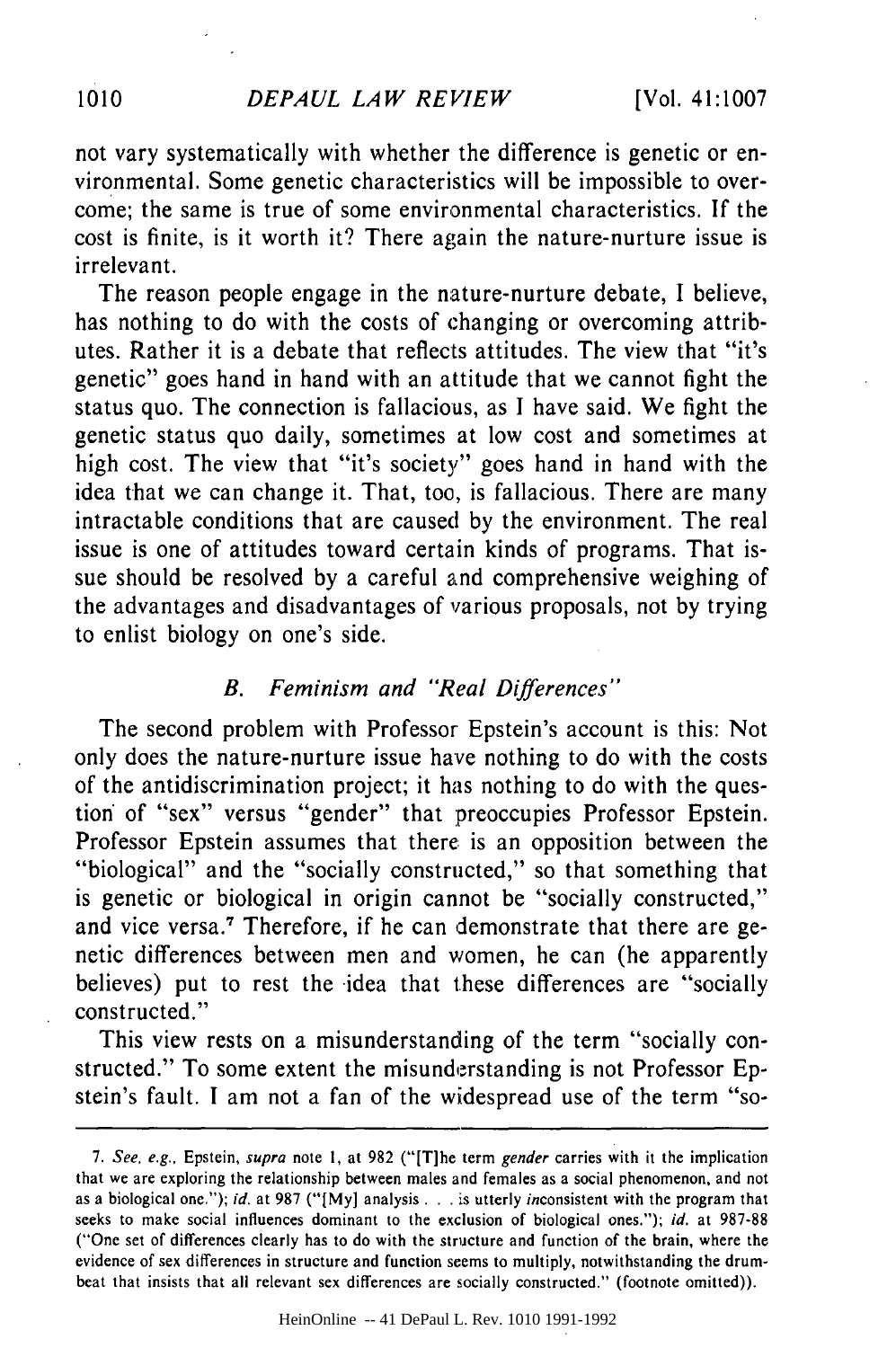not vary systematically with whether the difference is genetic or environmental. Some genetic characteristics will be impossible to overcome; the same is true of some environmental characteristics. If the cost is finite, is it worth it? There again the nature-nurture issue is irrelevant.

The reason people engage in the nature-nurture debate, I believe, has nothing to do with the costs of changing or overcoming attributes. Rather it is a debate that reflects attitudes. The view that "it's genetic" goes hand in hand with an attitude that we cannot fight the status quo. The connection is fallacious, as I have said. We fight the genetic status quo daily, sometimes at low cost and sometimes at high cost. The view that "it's society" goes hand in hand with the idea that we can change it. That, too, is fallacious. There are many intractable conditions that are caused by the environment. The real issue is one of attitudes toward certain kinds of programs. That issue should be resolved by a careful and comprehensive weighing of the advantages and disadvantages of various proposals, not by trying to enlist biology on one's side.

#### *B. Feminism and "Real Differences"*

The second problem with Professor Epstein's account is this: Not only does the nature-nurture issue have nothing to do with the costs of the antidiscrimination project; it has nothing to do with the question of "sex" versus "gender" that preoccupies Professor Epstein. Professor Epstein assumes that there is an opposition between the "biological" and the "socially constructed," so that something that is genetic or biological in origin cannot be "socially constructed," and vice versa.' Therefore, if he can demonstrate that there are genetic differences between men and women, he can (he apparently believes) put to rest the idea that these differences are "socially constructed."

This view rests on a misunderstanding of the term "socially constructed." To some extent the misunderstanding is not Professor Epstein's fault. I am not a fan of the widespread use of the term "so-

HeinOnline -- 41 DePaul L. Rev. 1010 1991-1992

<sup>7.</sup> See, e.g., Epstein, supra note **1,** at 982 ("[T]he term gender carries with it the implication that we are exploring the relationship between males and females as a social phenomenon, and not as a biological one."); id. at 987 ("[My] analysis . . . is utterly inconsistent with the program that seeks to make social influences dominant to the exclusion of biological ones."); *id.* at 987-88 ("One set of differences clearly has to do with the structure and function of the brain, where the evidence of sex differences in structure and function seems to multiply, notwithstanding the drumbeat that insists that all relevant sex differences are socially constructed." (footnote omitted)).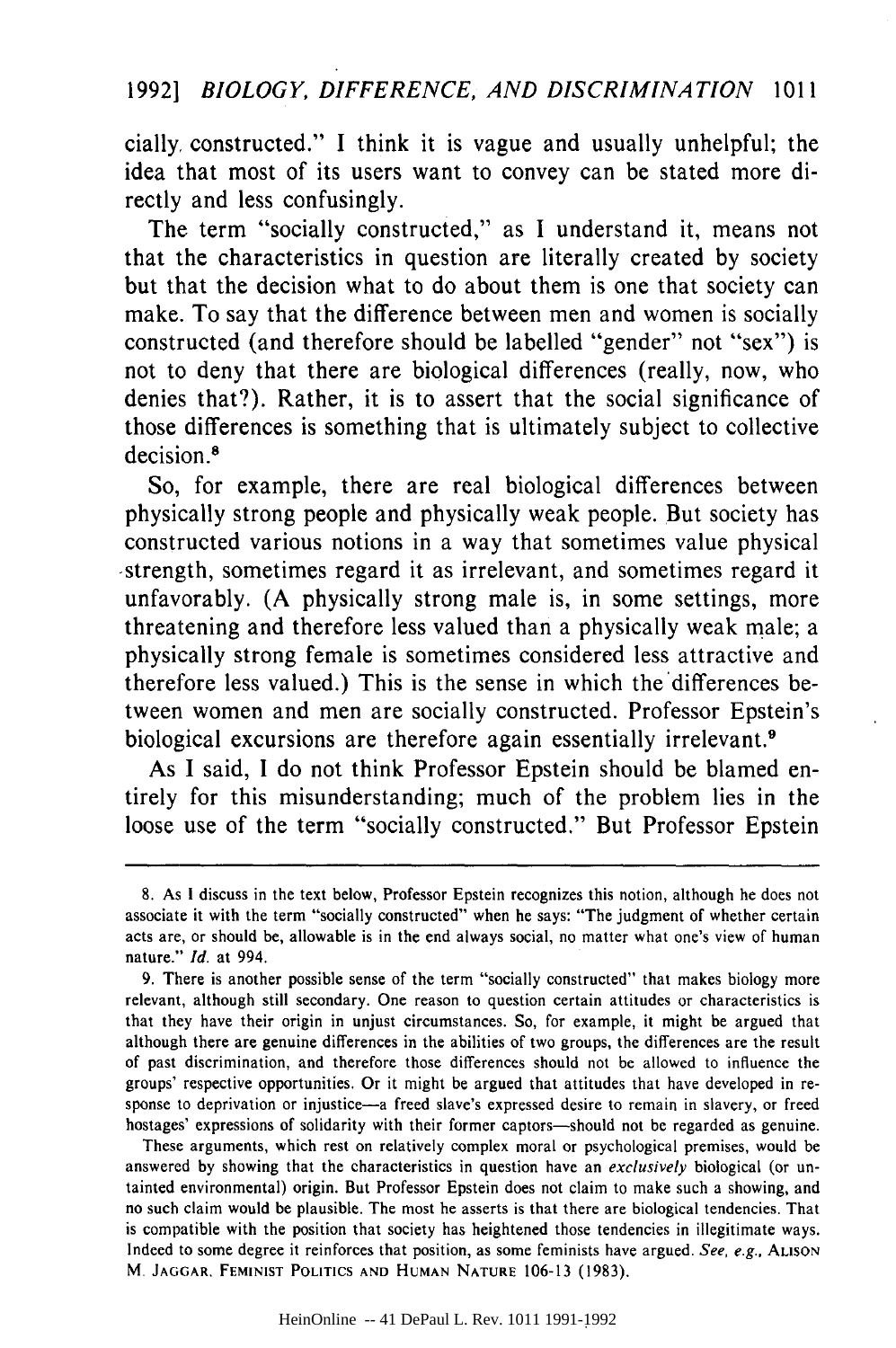cially, constructed." **I** think it is vague and usually unhelpful; the idea that most of its users want to convey can be stated more directly and less confusingly.

The term "socially constructed," as **I** understand it, means not that the characteristics in question are literally created **by** society but that the decision what to do about them is one that society can make. To say that the difference between men and women is socially constructed (and therefore should be labelled "gender" not "sex") is not to deny that there are biological differences (really, now, who denies that?). Rather, it is to assert that the social significance of those differences is something that is ultimately subject to collective decision.<sup>8</sup>

So, for example, there are real biological differences between physically strong people and physically weak people. But society has constructed various notions in a way that sometimes value physical -strength, sometimes regard it as irrelevant, and sometimes regard it unfavorably. **(A** physically strong male is, in some settings, more threatening and therefore less valued than a physically weak male; a physically strong female is sometimes considered less attractive and therefore less valued.) This is the sense in which the differences between women and men are socially constructed. Professor Epstein's biological excursions are therefore again essentially irrelevant.<sup>9</sup>

As **I** said, **I** do not think Professor Epstein should be blamed entirely for this misunderstanding; much of the problem lies in the loose use of the term "socially constructed." But Professor Epstein

These arguments, which rest on relatively complex moral or psychological premises, would be answered **by** showing that the characteristics in question have an *exclusively* biological (or untainted environmental) origin. But Professor Epstein does not claim to make such a showing, and no such claim would be plausible. The most he asserts is that there are biological tendencies. That is compatible with the position that society has heightened those tendencies in illegitimate ways. Indeed to some degree it reinforces that position, as some feminists have argued. *See, e.g.,* **ALISON** M. **JAGGAR, FEMINIST POLITICS AND HUMAN NATURE 106-13 (1983).**

**<sup>8.</sup>** As **I** discuss in the text below, Professor Epstein recognizes this notion, although he does not associate it with the term "socially constructed" when he says: "The judgment of whether certain acts are, or should be, allowable is in the end always social, no matter what one's view of human nature." *Id.* at 994.

**<sup>9.</sup>** There is another possible sense of the term "socially constructed" that makes biology more relevant, although still secondary. One reason to question certain attitudes or characteristics is that they have their origin in unjust circumstances. So, for example, it might be argued that although there are genuine differences in the abilities of two groups, the differences are the result of past discrimination, and therefore those differences should not be allowed to influence the groups' respective opportunities. Or it might be argued that attitudes that have developed in response to deprivation or injustice-a freed slave's expressed desire to remain in slavery, or freed hostages' expressions of solidarity with their former captors—should not be regarded as genuine.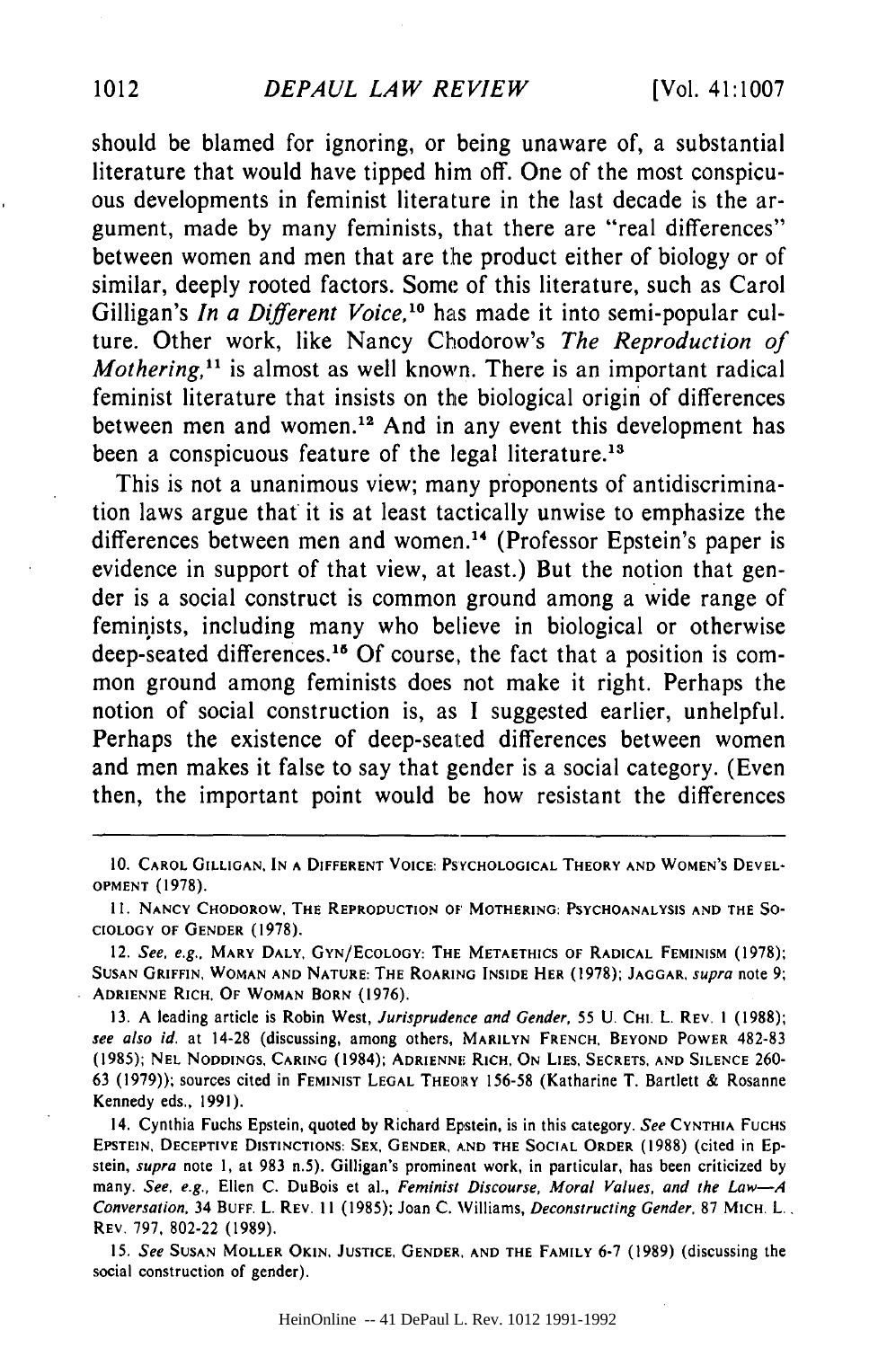should be blamed for ignoring, or being unaware of, a substantial literature that would have tipped him off. One of the most conspicuous developments in feminist literature in the last decade is the argument, made by many feminists, that there are "real differences" between women and men that are the product either of biology or of similar, deeply rooted factors. Some of this literature, such as Carol Gilligan's *In a Different Voice,10* has made it into semi-popular culture. Other work, like Nancy Chodorow's *The Reproduction of Mothering*,<sup>11</sup> is almost as well known. There is an important radical feminist literature that insists on the biological origin of differences between men and women.<sup>12</sup> And in any event this development has been a conspicuous feature of the legal literature.<sup>13</sup>

This is not a unanimous view; many proponents of antidiscrimination laws argue that it is at least tactically unwise to emphasize the differences between men and women.<sup>14</sup> (Professor Epstein's paper is evidence in support of that view, at least.) But the notion that gender is a social construct is common ground among a wide range of feminists, including many who believe in biological or otherwise deep-seated differences.<sup>15</sup> Of course, the fact that a position is common ground among feminists does not make it right. Perhaps the notion of social construction is, as I suggested earlier, unhelpful. Perhaps the existence of deep-seated differences between women and men makes it false to say that gender is a social category. (Even then, the important point would be how resistant the differences

12. *See, e.g.,* **MARY** DALY, **GYN/ECOLOGY: THE METAETHICS OF** RADICAL **FEMINISM** (1978); **SUSAN** GRIFFIN, WOMAN **AND NATURE: THE** ROARING **INSIDE HER** (1978); **JAGGAR.** *supra* note 9; **ADRIENNE** RICH. **OF** WOMAN **BORN** (1976).

**13.** A leading article **is Robin** West, *Jurisprudence* and Gender, 55 U. CHI. L. REV. **1** (1988); see also id. at 14-28 (discussing, among others, MARILYN FRENCH, BEYOND POWER 482-83 (1985); **NEL NODDINGS, CARING** (1984); **ADRIENNE RICH, ON LIES, SECRETS, AND SILENCE** 260- **<sup>63</sup>**(1979)); sources cited **in FEMINIST LEGAL THEORY** 156-58 (Katharine T. **Bartlett** & Rosanne Kennedy eds., 1991).

14. Cynthia Fuchs Epstein, quoted **by** Richard Epstein, is in this category. See **CYNTHIA** FUCHS **EPSTEIN,** DECEPTIVE **DISTINCTIONS: SEX. GENDER, AND** THE **SOCIAL** ORDER (1988) (cited **in Ep**stein, supra note I, at 983 n.5). Gilligan's prominent work, in particular, has been criticized **by** many. See, e.g., Ellen C. DuBois et al., Feminist Discourse, Moral Values, *and the Law-A Conversation,* 34 **BUFF.** L. REV. **11** (1985); Joan C. Williams, Deconstructing Gender, 87 MICH. L., REV. 797, 802-22 (1989).

15. See **SUSAN** MOLLER **OKIN, JUSTICE, GENDER, AND THE** FAMILY **6-7** (1989) (discussing **the** social construction of gender).

**<sup>10.</sup>** CAROL **GILLIGAN. IN A DIFFERENT VOICE: PSYCHOLOGICAL** THEORY **AND** WOMEN'S **DEVEL-OPMENT** (1978).

**<sup>11.</sup> NANCY** CHODOROW. **THE** REPRODUCTION **OF** MOTHERING: **PSYCHOANALYSIS AND THE SO-CIOLOGY OF GENDER** (1978).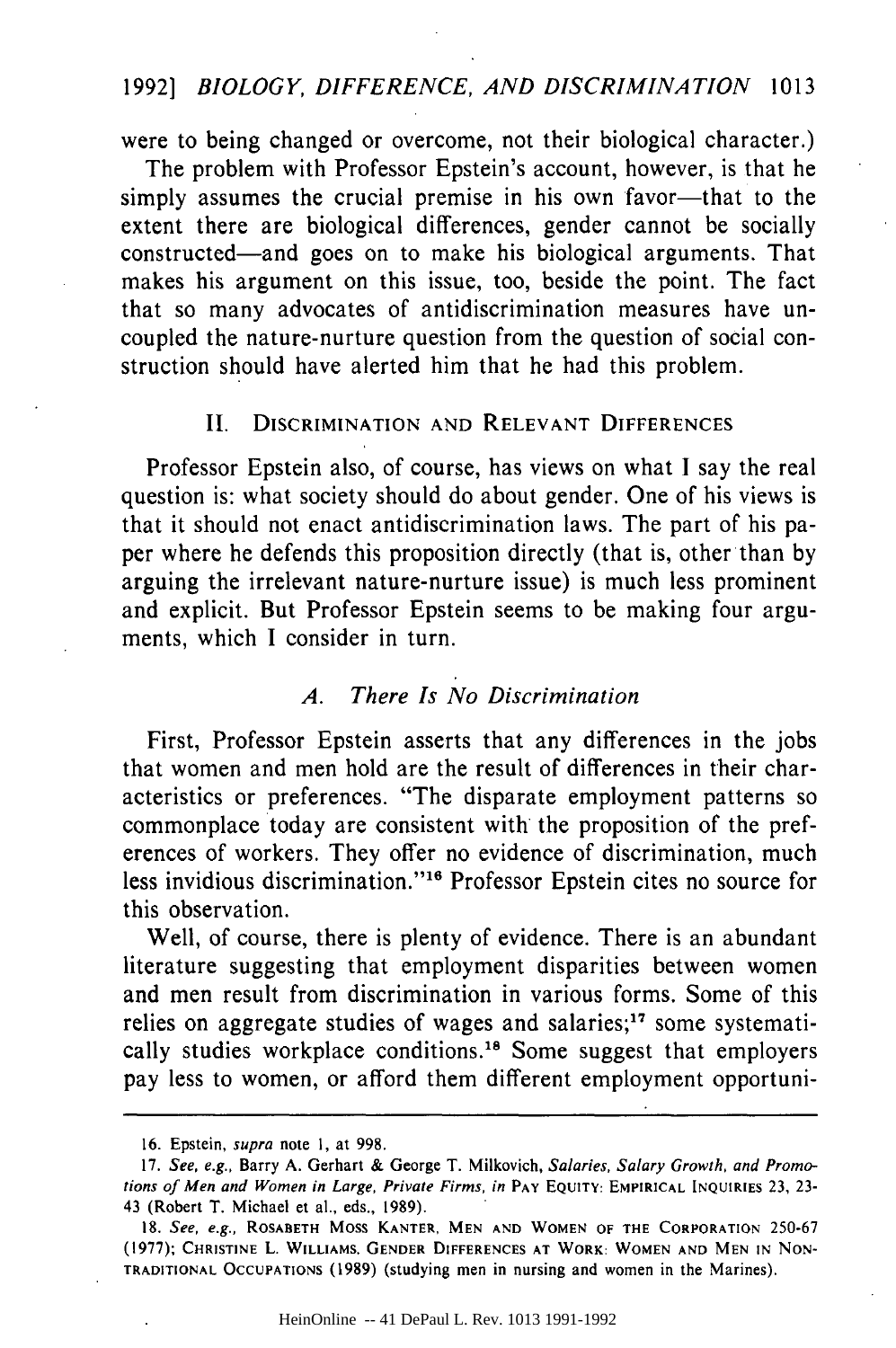#### 1992] *BIOLOGY, DIFFERENCE, AND DISCRIMINATION* 1013

were to being changed or overcome, not their biological character.)

The problem with Professor Epstein's account, however, is that he simply assumes the crucial premise in his own favor-that to the extent there are biological differences, gender cannot be socially constructed-and goes on to make his biological arguments. That makes his argument on this issue, too, beside the point. The fact that so many advocates of antidiscrimination measures have uncoupled the nature-nurture question from the question of social construction should have alerted him that he had this problem.

## II. DISCRIMINATION **AND** RELEVANT **DIFFERENCES**

Professor Epstein also, of course, has views on what I say the real question is: what society should do about gender. One of his views is that it should not enact antidiscrimination laws. The part of his paper where he defends this proposition directly (that is, other than by arguing the irrelevant nature-nurture issue) is much less prominent and explicit. But Professor Epstein seems to be making four arguments, which I consider in turn.

#### *A. There Is No Discrimination*

First, Professor Epstein asserts that any differences in the jobs that women and men hold are the result of differences in their characteristics or preferences. "The disparate employment patterns so commonplace today are consistent with the proposition of the preferences of workers. They offer no evidence of discrimination, much less invidious discrimination."<sup>16</sup> Professor Epstein cites no source for this observation.

Well, of course, there is plenty of evidence. There is an abundant literature suggesting that employment disparities between women and men result from discrimination in various forms. Some of this relies on aggregate studies of wages and salaries; $17$  some systematically studies workplace conditions.<sup>18</sup> Some suggest that employers pay less to women, or afford them different employment opportuni-

**<sup>16.</sup>** Epstein, supra note **1,** at 998.

<sup>17.</sup> See, e.g., Barry A. Gerhart & George T. Milkovich, Salaries, Salary Growth, and Promotions **of Men** and Women in **Large,** *Private Firms, in* **PAY EQUITY:** EMPIRICAL INQUIRIES 23, **23-** 43 (Robert T. Michael et al., eds., 1989).

**<sup>18.</sup>** See, e.g., ROSABETH Moss KANTER, **MEN AND** WOMEN OF THE CORPORATION 250-67 (1977); **CHRISTINE** L. WILLIAMS. **GENDER DIFFERENCES AT** WORK: WOMEN **AND MEN IN NON-**TRADITIONAL **OCCUPATIONS** (1989) (studying men in nursing and women in the Marines).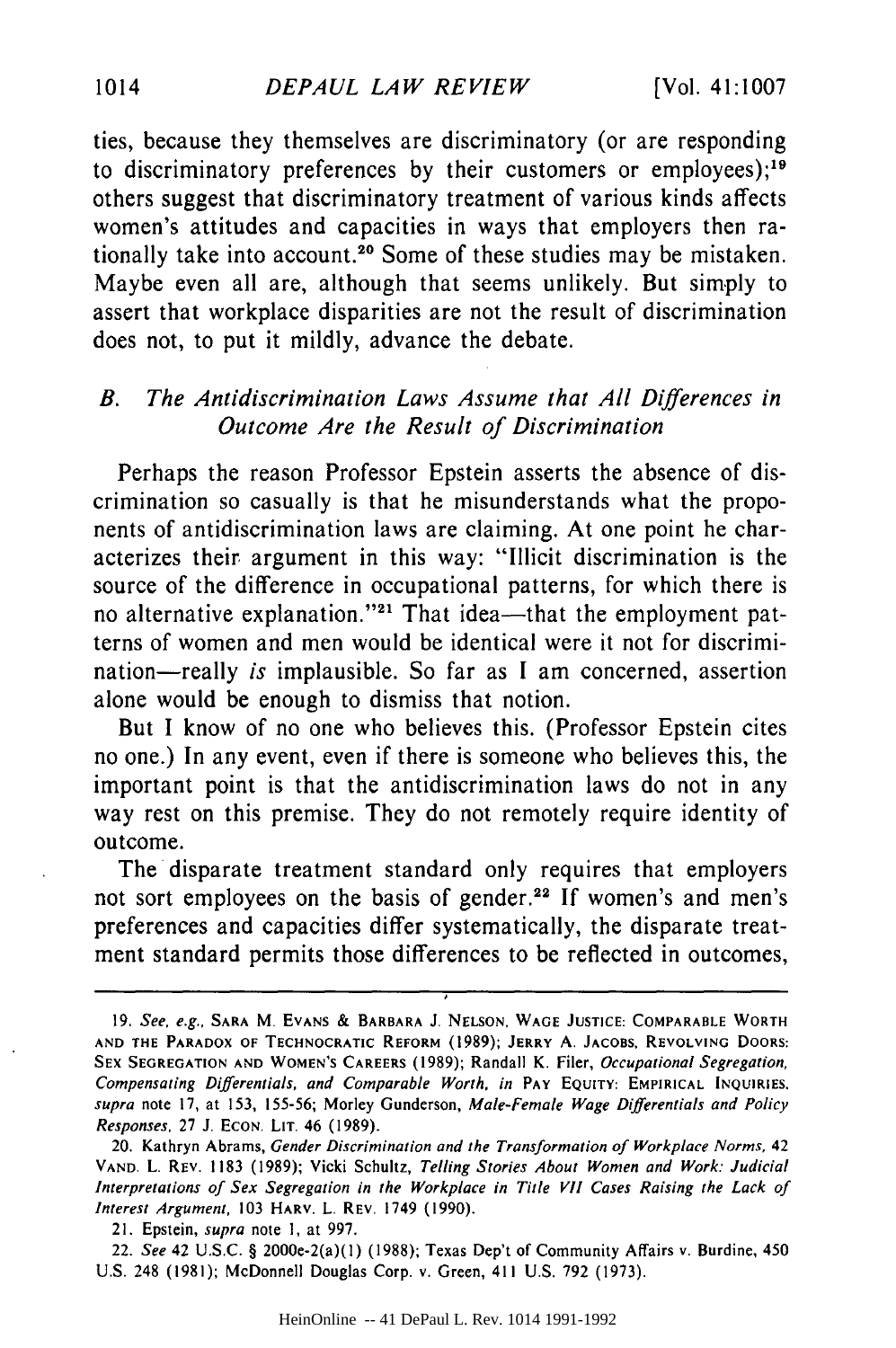ties, because they themselves are discriminatory (or are responding to discriminatory preferences by their customers or employees);<sup>19</sup> others suggest that discriminatory treatment of various kinds affects women's attitudes and capacities in ways that employers then rationally take into account.<sup>20</sup> Some of these studies may be mistaken. Maybe even all are, although that seems unlikely. But simply to assert that workplace disparities are not the result of discrimination does not, to put it mildly, advance the debate.

## *B. The Antidiscrimination Laws Assume that All Differences in Outcome Are the Result of Discrimination*

Perhaps the reason Professor Epstein asserts the absence of discrimination so casually is that he misunderstands what the proponents of antidiscrimination laws are claiming. At one point he characterizes their argument in this way: "Illicit discrimination is the source of the difference in occupational patterns, for which there is no alternative explanation."<sup>21</sup> That idea-that the employment patterns of women and men would be identical were it not for discrimination-really *is* implausible. So far as I am concerned, assertion alone would be enough to dismiss that notion.

But I know of no one who believes this. (Professor Epstein cites no one.) In any event, even if there is someone who believes this, the important point is that the antidiscrimination laws do not in any way rest on this premise. They do not remotely require identity of outcome.

The disparate treatment standard only requires that employers not sort employees on the basis of gender.<sup>22</sup> If women's and men's preferences and capacities differ systematically, the disparate treatment standard permits those differences to be reflected in outcomes,

**<sup>19.</sup>** See, e.g., SARA M. **EVANS** & BARBARA J. **NELSON, WAGE JUSTICE:** COMPARABLE WORTH **AND THE** PARADOX **OF** TECHNOCRATIC REFORM (1989); JERRY **A. JACOBS,** REVOLVING DOORS: **SEX SEGREGATION AND WOMEN'S** CAREERS (1989); Randall K. Filer, Occupational Segregation, Compensating Differentials, and Comparable Worth, in **PAY EQUITY:** EMPIRICAL **INQUIRIES.** supra note **17,** at 153, 155-56; Morley Gunderson, *Male-Female Wage Differentials and Policy* Responses, **27** J. ECON. LIT. 46 (1989).

<sup>20.</sup> Kathryn Abrams, *Gender Discrimination and the Transformation of Workplace Norms,* <sup>42</sup> **VAND.** L. REV. 1183 (1989); Vicki Schultz, Telling Stories About *Women and Work: Judicial Interpretations of Sex Segregation in the Workplace in Title VII Cases Raising the Lack of Interest Argument,* 103 HARV. L. REV. 1749 **(1990).**

<sup>21.</sup> Epstein, *supra* note **1,** at 997.

<sup>22.</sup> *See* 42 U.S.C. § 2000e-2(a)(l) (1988); Texas Dep't of Community Affairs v. Burdine, 450 U.S. 248 (1981); McDonnell Douglas Corp. v. Green, 411 U.S. 792 (1973).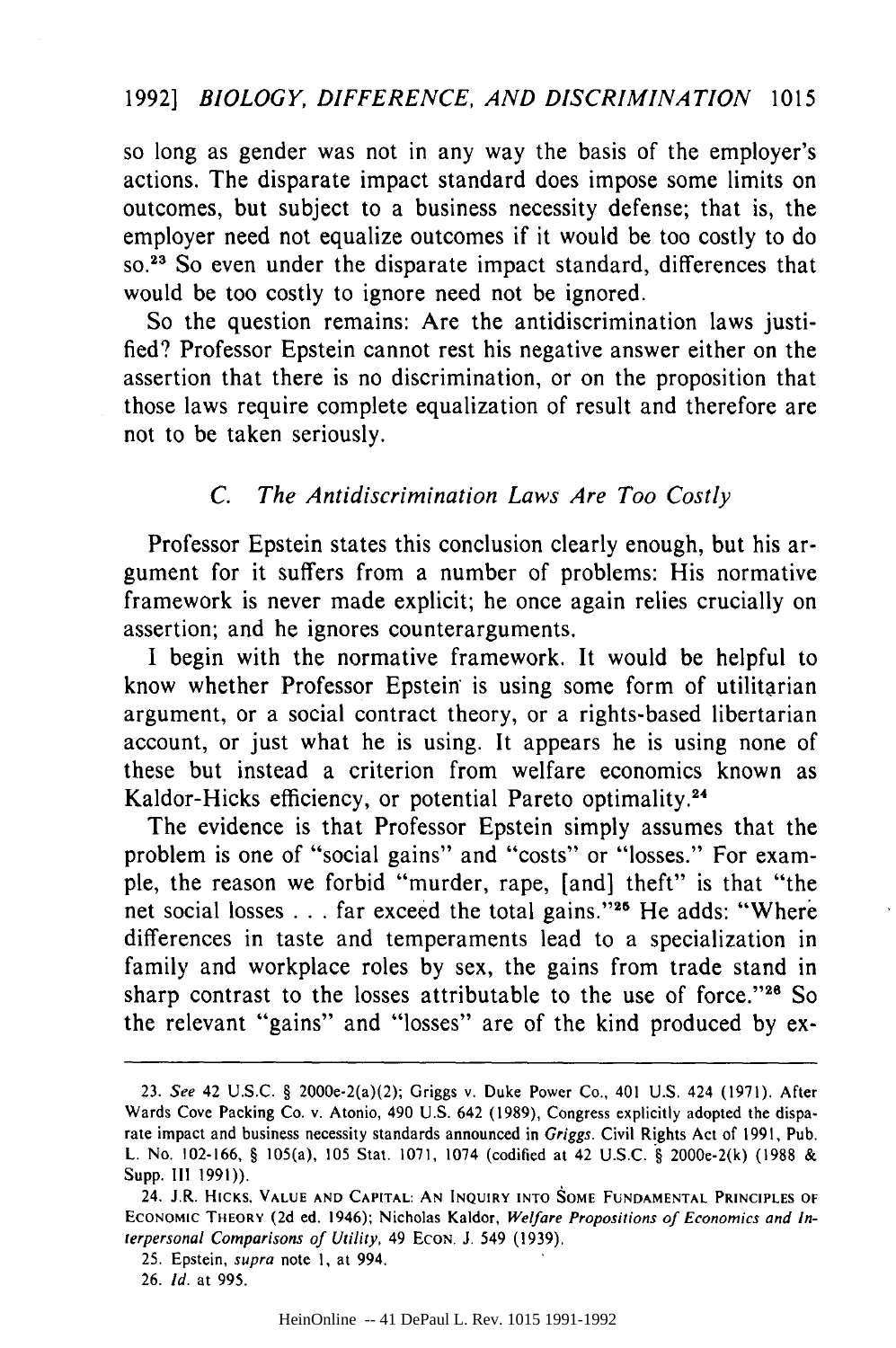#### 19921 *BIOLOGY, DIFFERENCE, AND DISCRIMINATION* 1015

so long as gender was not in any way the basis of the employer's actions. The disparate impact standard does impose some limits on outcomes, but subject to a business necessity defense; that is, the employer need not equalize outcomes if it would be too costly to do **SO. <sup>23</sup>**So even under the disparate impact standard, differences that would be too costly to ignore need not be ignored.

So the question remains: Are the antidiscrimination laws justified? Professor Epstein cannot rest his negative answer either on the assertion that there is no discrimination, or on the proposition that those laws require complete equalization of result and therefore are not to be taken seriously.

#### *C. The Antidiscrimination Laws Are Too Costly*

Professor Epstein states this conclusion clearly enough, but his argument for it suffers from a number of problems: His normative framework is never made explicit; he once again relies crucially on assertion; and he ignores counterarguments.

I begin with the normative framework. It would be helpful to know whether Professor Epstein is using some form of utilitarian argument, or a social contract theory, or a rights-based libertarian account, or just what he is using. It appears he is using none of these but instead a criterion from welfare economics known as Kaldor-Hicks efficiency, or potential Pareto optimality.24

The evidence is that Professor Epstein simply assumes that the problem is one of "social gains" and "costs" or "losses." For example, the reason we forbid "murder, rape, [and] theft" is that "the net social losses . . . far exceed the total gains."<sup>25</sup> He adds: "Where differences in taste and temperaments lead to a specialization in family and workplace roles by sex, the gains from trade stand in sharp contrast to the losses attributable to the use of force."<sup>26</sup> So the relevant "gains" and "losses" are of the kind produced by ex-

<sup>23.</sup> *See* 42 **U.S.C.** § 2000e-2(a)(2); Griggs v. Duke Power Co., 401 U.S. 424 (1971). After Wards Cove Packing Co. v. Atonio, 490 U.S. 642 (1989), Congress explicitly adopted the disparate impact and business necessity standards announced in Griggs. Civil Rights Act of 1991, Pub. L. No. 102-166, § 105(a), **105** Stat. 1071, 1074 (codified at 42 U.S.C. § 2000e-2(k) (1988 & **Supp. III 1991)).**

<sup>24.</sup> J.R. HICKS. **VALUE AND CAPITAL: AN INQUIRY INTO SOME FUNDAMENTAL PRINCIPLES OF** ECONOMIC THEORY (2d ed. 1946); Nicholas Kaldor, Welfare *Propositions* of Economics and Interpersonal Comparisons of *Utility,* 49 **ECON. J.** 549 **(1939).**

<sup>25.</sup> Epstein, supra note 1, at 994.

<sup>26.</sup> **Id.** at **995.**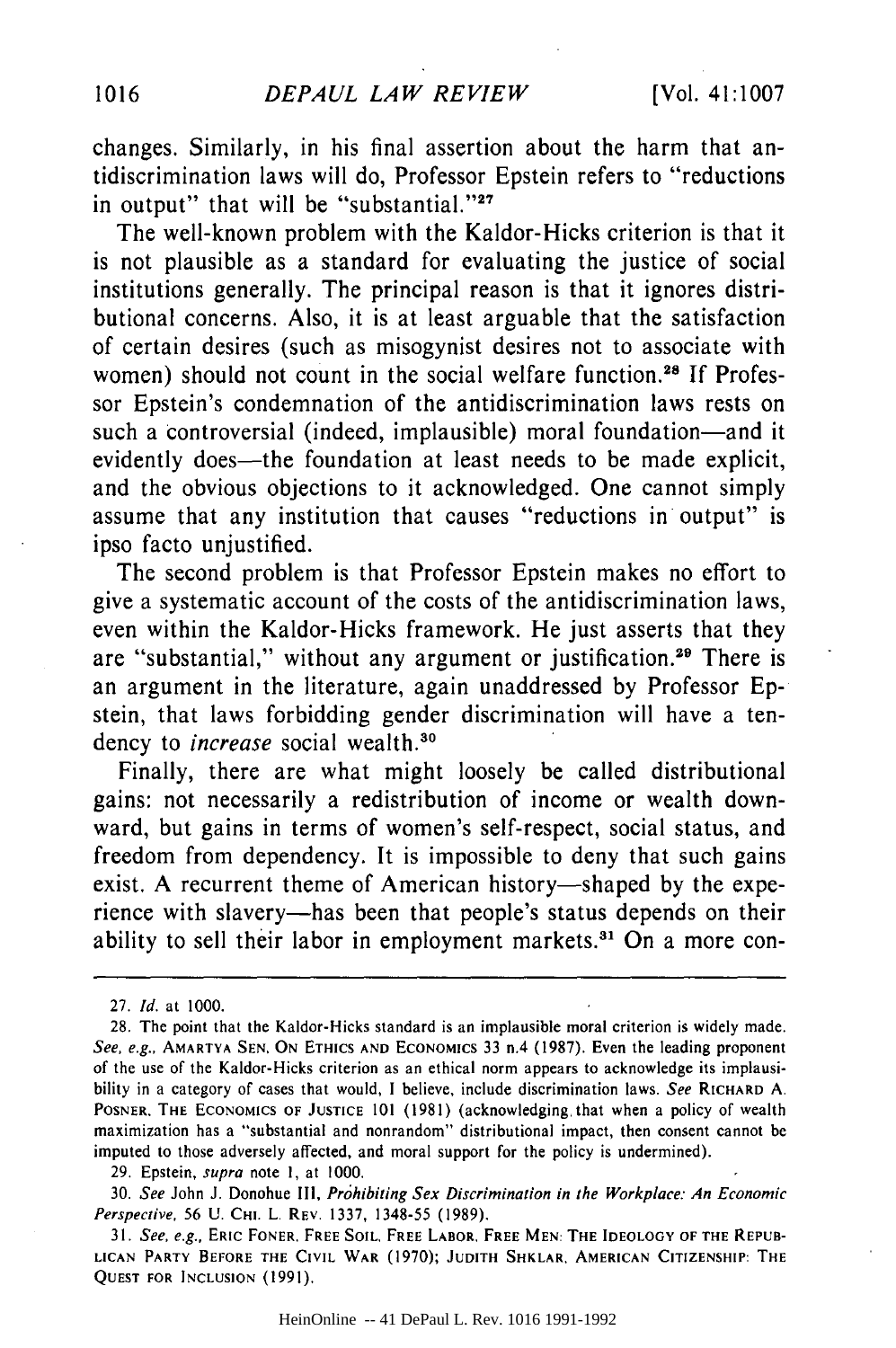changes. Similarly, in his final assertion about the harm that antidiscrimination laws will do, Professor Epstein refers to "reductions in output" that will be "substantial." $27$ 

The well-known problem with the Kaldor-Hicks criterion is that it is not plausible as a standard for evaluating the justice of social institutions generally. The principal reason is that it ignores distributional concerns. Also, it is at least arguable that the satisfaction of certain desires (such as misogynist desires not to associate with women) should not count in the social welfare function.<sup>28</sup> If Professor Epstein's condemnation of the antidiscrimination laws rests on such a controversial (indeed, implausible) moral foundation-and it evidently does—the foundation at least needs to be made explicit, and the obvious objections to it acknowledged. One cannot simply assume that any institution that causes "reductions in output" is ipso facto unjustified.

The second problem is that Professor Epstein makes no effort to give a systematic account of the costs of the antidiscrimination laws, even within the Kaldor-Hicks framework. He just asserts that they are "substantial," without any argument or justification.<sup>29</sup> There is an argument in the literature, again unaddressed by Professor Epstein, that laws forbidding gender discrimination will have a tendency to *increase* social wealth.<sup>30</sup>

Finally, there are what might loosely be called distributional gains: not necessarily a redistribution of income or wealth downward, but gains in terms of women's self-respect, social status, and freedom from dependency. It is impossible to deny that such gains exist. A recurrent theme of American history-shaped by the experience with slavery-has been that people's status depends on their ability to sell their labor in employment markets.<sup>31</sup> On a more con-

29. Epstein, *supra* note **1,** at 1000.

HeinOnline -- 41 DePaul L. Rev. 1016 1991-1992

<sup>27.</sup> *Id.* at 1000.

<sup>28.</sup> The point that the Kaldor-Hicks standard is an implausible moral criterion is widely made. *See, e.g.,* AMARTYA SEN. ON **ETHICS AND** ECONOMICS **33** n.4 (1987). Even the leading proponent of the use of the Kaldor-Hicks criterion as an ethical norm appears to acknowledge its implausibility in a category of cases that would, I believe, include discrimination laws. *See* RICHARD **A.** POSNER. THE ECONOMICS OF **JUSTICE** 101 (1981) (acknowledging. that when a policy of wealth maximization has a "substantial and nonrandom" distributional impact, then consent cannot be imputed to those adversely affected, and moral support for the policy is undermined).

<sup>30.</sup> *See* John J. Donohue **III,** *Prohibiting Sex Discrimination in the Workplace: An Economic Perspective.* 56 **U.** CHI. L. REV. 1337, 1348-55 (1989).

<sup>31.</sup> See, e.g., **ERIC FONER, FREE SOIL, FREE LABOR, FREE MEN: THE** IDEOLOGY OF **THE REPUB-LICAN PARTY BEFORE THE CIVIL WAR** (1970); **JUDITH** SHKLAR. **AMERICAN CITIZENSHIP:** THE **QUEST FOR INCLUSION** (1991).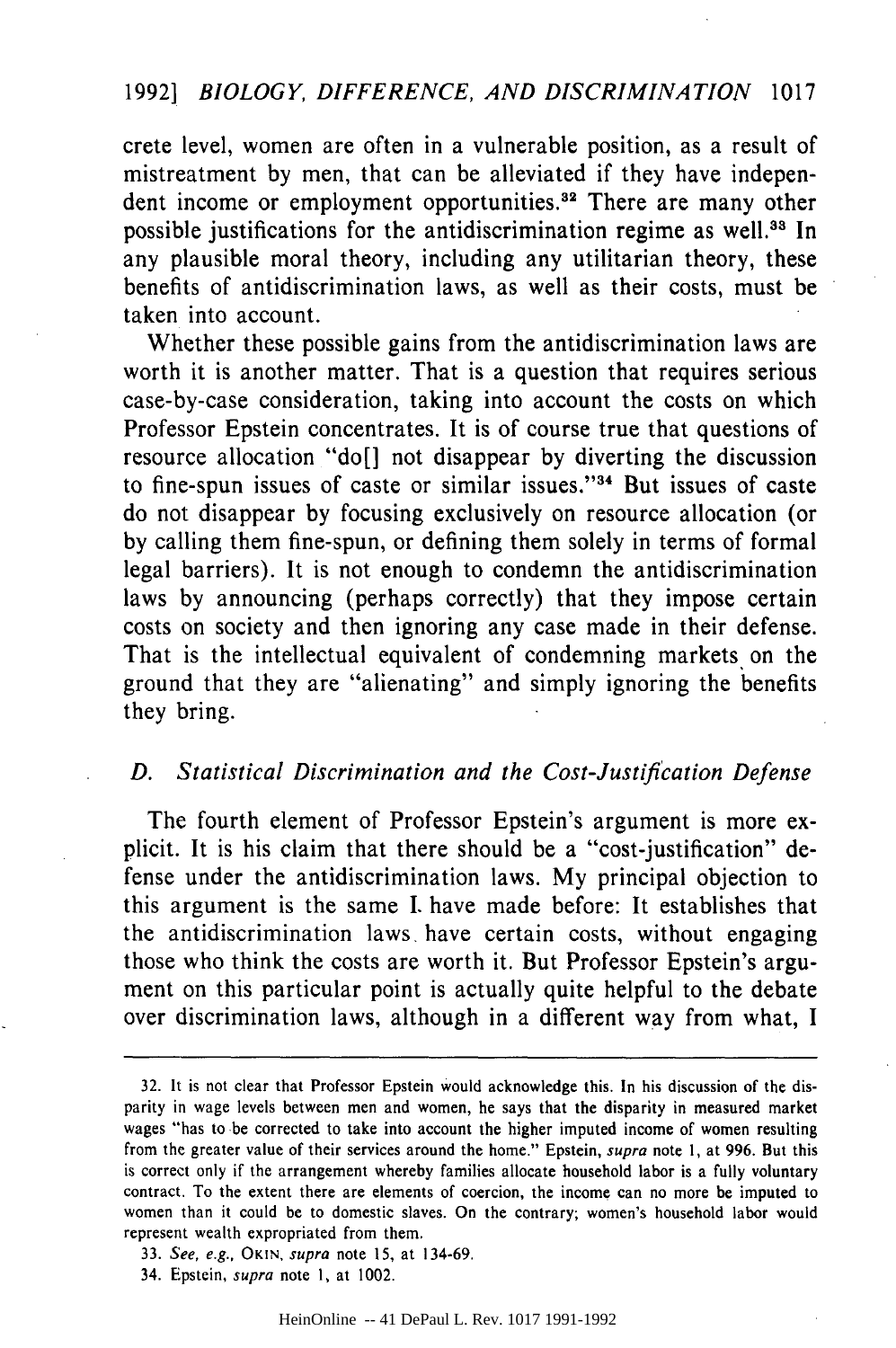crete level, women are often in a vulnerable position, as a result of mistreatment by men, that can be alleviated if they have independent income or employment opportunities.<sup>32</sup> There are many other possible justifications for the antidiscrimination regime as well.<sup>33</sup> In any plausible moral theory, including any utilitarian theory, these benefits of antidiscrimination laws, as well as their costs, must be taken into account.

Whether these possible gains from the antidiscrimination laws are worth it is another matter. That is a question that requires serious case-by-case consideration, taking into account the costs on which Professor Epstein concentrates. It is of course true that questions of resource allocation "do[] not disappear by diverting the discussion to fine-spun issues of caste or similar issues."<sup>34</sup> But issues of caste do not disappear by focusing exclusively on resource allocation (or by calling them fine-spun, or defining them solely in terms of formal legal barriers). It is not enough to condemn the antidiscrimination laws by announcing (perhaps correctly) that they impose certain costs on society and then ignoring any case made in their defense. That is the intellectual equivalent of condemning markets on the ground that they are "alienating" and simply ignoring the benefits they bring.

#### *D. Statistical Discrimination and the Cost-Justification Defense*

The fourth element of Professor Epstein's argument is more explicit. It is his claim that there should be a "cost-justification" defense under the antidiscrimination laws. My principal objection to this argument is the same I. have made before: It establishes that the antidiscrimination laws, have certain costs, without engaging those who think the costs are worth it. But Professor Epstein's argument on this particular point is actually quite helpful to the debate over discrimination laws, although in a different way from what, I

34. Epstein, supra note I, at 1002.

<sup>32.</sup> It is not clear that Professor Epstein would acknowledge this. In his discussion of the disparity in wage levels between men and women, he says that the disparity in measured market wages "has to be corrected to take into account the higher imputed income of women resulting from the greater value of their services around the home." Epstein, supra note **1,** at 996. But this is correct only if the arrangement whereby families allocate household labor is a fully voluntary contract. To the extent there are elements of coercion, the income can no more be imputed to women than it could be to domestic slaves. On the contrary; women's household labor would represent wealth expropriated from them.

<sup>33.</sup> See, e.g., **OKIN,** supra note 15, at 134-69.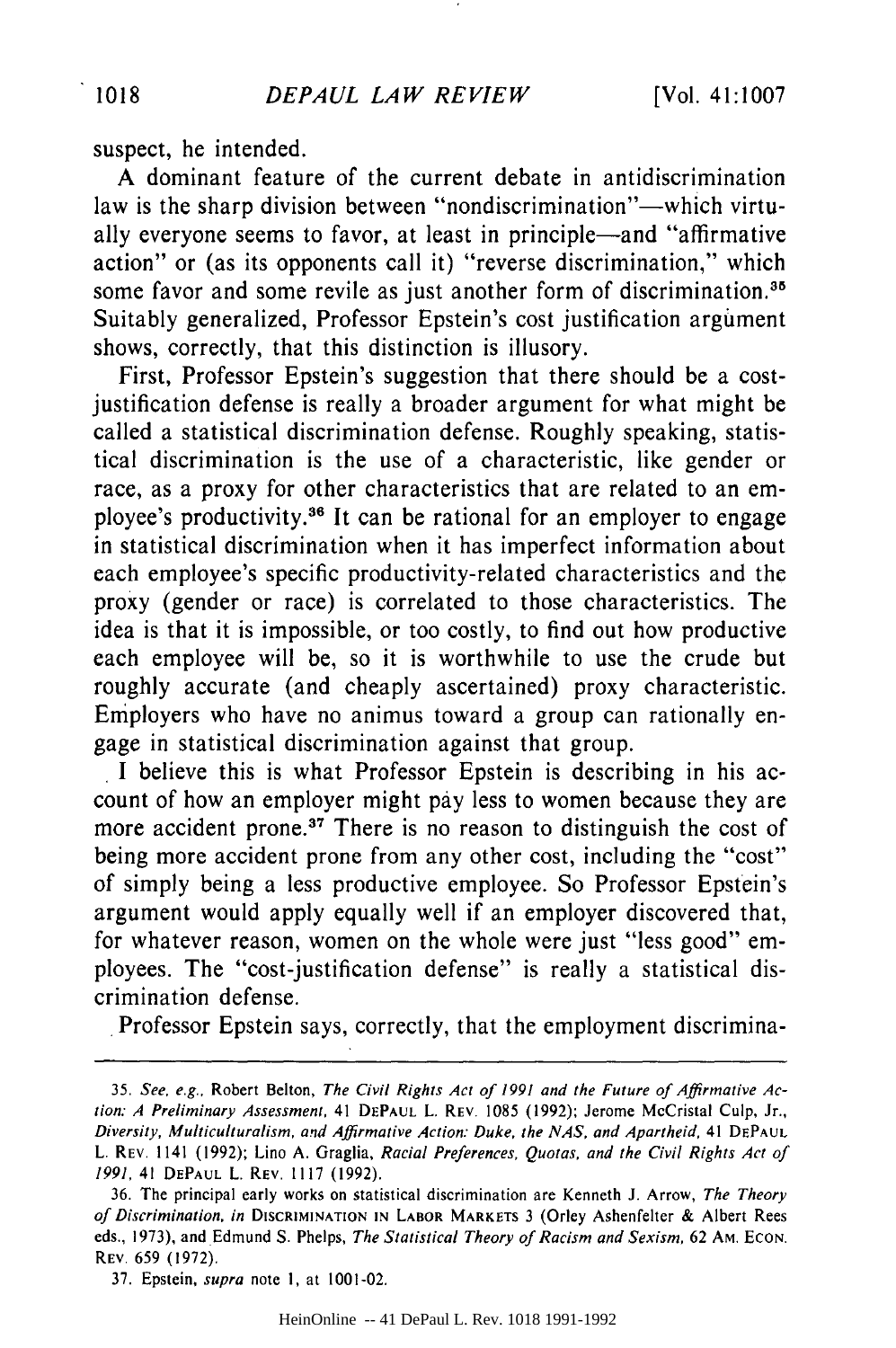suspect, he intended.

A dominant feature of the current debate in antidiscrimination law is the sharp division between "nondiscrimination"—which virtually everyone seems to favor, at least in principle-and "affirmative action" or (as its opponents call it) "reverse discrimination," which some favor and some revile as just another form of discrimination.<sup>35</sup> Suitably generalized, Professor Epstein's cost justification argument shows, correctly, that this distinction is illusory.

First, Professor Epstein's suggestion that there should be a costjustification defense is really a broader argument for what might be called a statistical discrimination defense. Roughly speaking, statistical discrimination is the use of a characteristic, like gender or race, as a proxy for other characteristics that are related to an employee's productivity.36 It can be rational for an employer to engage in statistical discrimination when it has imperfect information about each employee's specific productivity-related characteristics and the proxy (gender or race) is correlated to those characteristics. The idea is that it is impossible, or too costly, to find out how productive each employee will be, so it is worthwhile to use the crude but roughly accurate (and cheaply ascertained) proxy characteristic. Employers who have no animus toward a group can rationally engage in statistical discrimination against that group.

I believe this is what Professor Epstein is describing in his account of how an employer might pay less to women because they are more accident prone.<sup>37</sup> There is no reason to distinguish the cost of being more accident prone from any other cost, including the "cost" of simply being a less productive employee. So Professor Epstein's argument would apply equally well if an employer discovered that, for whatever reason, women on the whole were just "less good" employees. The "cost-justification defense" is really a statistical discrimination defense.

Professor Epstein says, correctly, that the employment discrimina-

HeinOnline -- 41 DePaul L. Rev. 1018 1991-1992

<sup>35.</sup> See, e.g., Robert Belton, The Civil Rights Act of **1991** and the Future of Affirmative **Ac**tion: **A** Preliminary Assessment, 41 **DEPAUL** L. REV. 1085 (1992); Jerome McCristal Culp, Jr., Diversity, Multiculturalism, and Affirmative Action: Duke, the **NAS,** and Apartheid, 41 **DEPAUL** L. REV, 1141 (1992); Lino **A.** Graglia, Racial Preferences, Quotas, and the **Civil** Rights Act of 1991, 41 **DEPAUL** L. REV. 1117 (1992).

<sup>36.</sup> The principal early works on statistical discrimination are Kenneth J. Arrow, The Theory of Discrimination. in DISCRIMINATION **IN** LABOR MARKETS 3 (Orley Ashenfelter **&** Albert Rees eds., 1973), and Edmund **S.** Phelps, The Statistical Theory of Racism and Sexism, 62 AM. **ECON.** REV. 659 (1972).

<sup>37.</sup> Epstein, supra note 1, at 1001-02.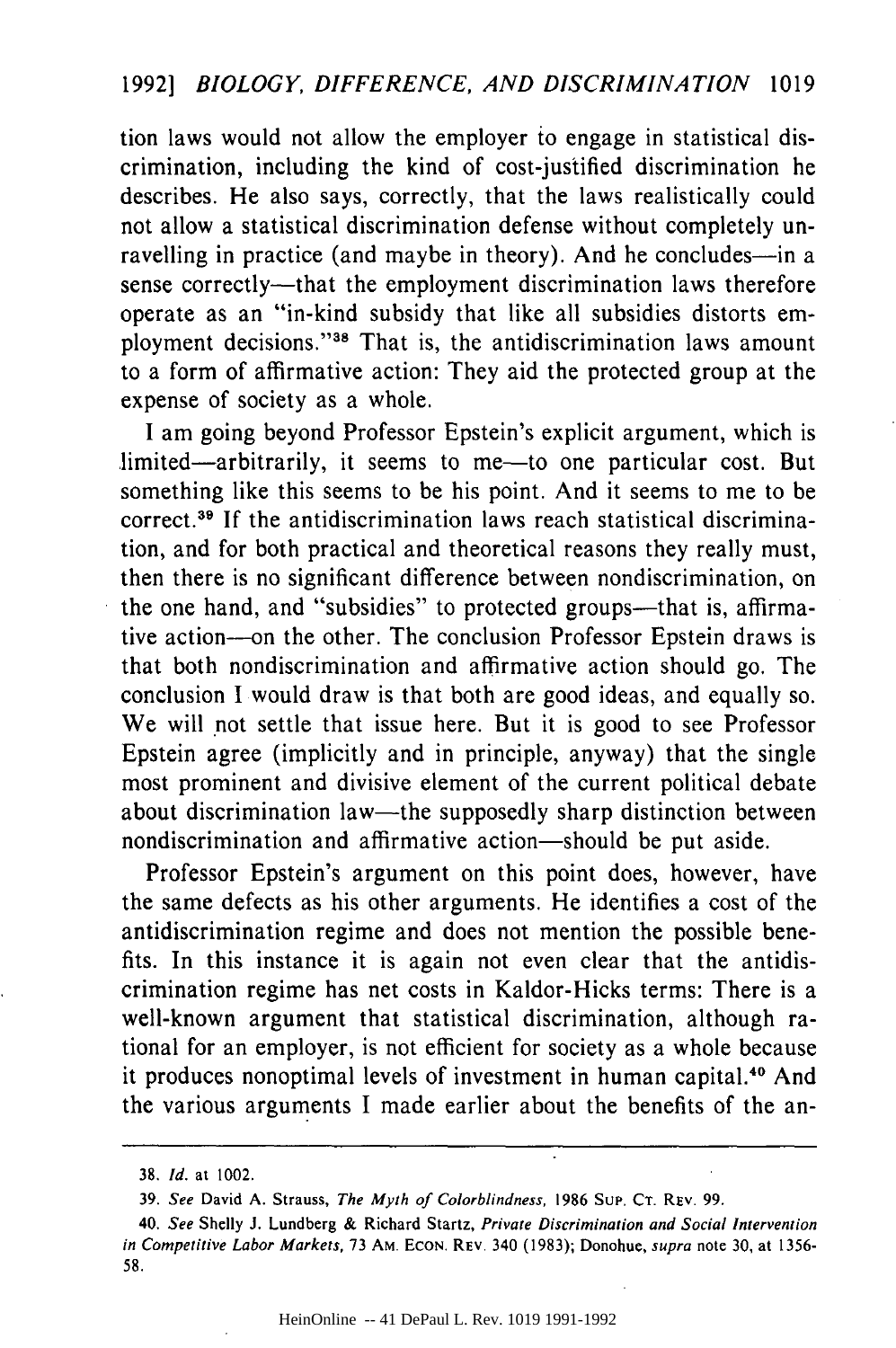tion laws would not allow the employer to engage in statistical discrimination, including the kind of cost-justified discrimination he describes. He also says, correctly, that the laws realistically could not allow a statistical discrimination defense without completely unravelling in practice (and maybe in theory). And he concludes-in a sense correctly--that the employment discrimination laws therefore operate as an "in-kind subsidy that like all subsidies distorts employment decisions."38 That is, the antidiscrimination laws amount to a form of affirmative action: They aid the protected group at the expense of society as a whole.

I am going beyond Professor Epstein's explicit argument, which is limited—arbitrarily, it seems to me—to one particular cost. But something like this seems to be his point. And it seems to me to be correct.39 If the antidiscrimination laws reach statistical discrimination, and for both practical and theoretical reasons they really must, then there is no significant difference between nondiscrimination, on the one hand, and "subsidies" to protected groups—that is, affirmative action---on the other. The conclusion Professor Epstein draws is that both nondiscrimination and affirmative action should go. The conclusion I would draw is that both are good ideas, and equally so. We will not settle that issue here. But it is good to see Professor Epstein agree (implicitly and in principle, anyway) that the single most prominent and divisive element of the current political debate about discrimination law—the supposedly sharp distinction between nondiscrimination and affirmative action-should be put aside.

Professor Epstein's argument on this point does, however, have the same defects as his other arguments. He identifies a cost of the antidiscrimination regime and does not mention the possible benefits. In this instance it is again not even clear that the antidiscrimination regime has net costs in Kaldor-Hicks terms: There is a well-known argument that statistical discrimination, although rational for an employer, is not efficient for society as a whole because it produces nonoptimal levels of investment in human capital.<sup>40</sup> And the various arguments I made earlier about the benefits of the an-

**<sup>38.</sup>** *Id.* at 1002.

**<sup>39.</sup>** See David **A.** Strauss, The **Myth** of Colorblindness, **1986 SuP. CT.** REv. **99.**

<sup>40.</sup> See Shelly **J.** Lundberg **&** Richard Startz, Private Discrimination and Social *Intervention* in Competitive Labor Markets, **73** AM. **ECON.** REV. 340 **(1983);** Donohue, supra note 30, at 1356- **58.**